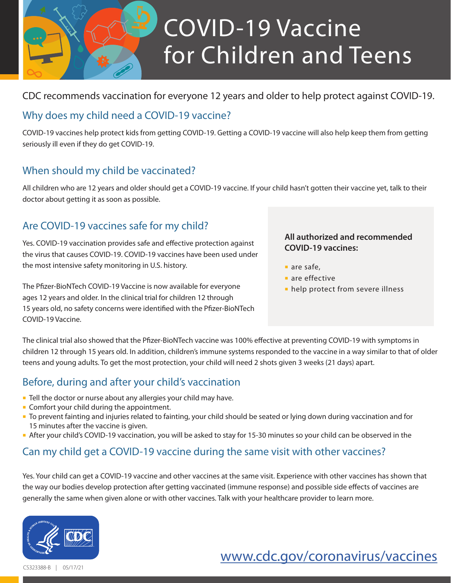

# COVID-19 Vaccine for Children and Teens

#### CDC recommends vaccination for everyone 12 years and older to help protect against COVID-19.

#### Why does my child need a COVID-19 vaccine?

COVID-19 vaccines help protect kids from getting COVID-19. Getting a COVID-19 vaccine will also help keep them from getting seriously ill even if they do get COVID-19.

### When should my child be vaccinated?

All children who are 12 years and older should get a COVID-19 vaccine. If your child hasn't gotten their vaccine yet, talk to their doctor about getting it as soon as possible.

### Are COVID-19 vaccines safe for my child?

Yes. COVID-19 vaccination provides safe and effective protection against the virus that causes COVID-19. COVID-19 vaccines have been used under the most intensive safety monitoring in U.S. history.

The Pfizer-BioNTech COVID-19 Vaccine is now available for everyone ages 12 years and older. In the clinical trial for children 12 through 15 years old, no safety concerns were identified with the Pfizer-BioNTech COVID-19 Vaccine.

#### **All authorized and recommended COVID-19 vaccines:**

- are safe.
- are effective
- **help protect from severe illness**

The clinical trial also showed that the Pfizer-BioNTech vaccine was 100% effective at preventing COVID-19 with symptoms in children 12 through 15 years old. In addition, children's immune systems responded to the vaccine in a way similar to that of older teens and young adults. To get the most protection, your child will need 2 shots given 3 weeks (21 days) apart.

## Before, during and after your child's vaccination

- **Tell the doctor or nurse about any allergies your child may have.**
- **Comfort your child during the appointment.**
- To prevent fainting and injuries related to fainting, your child should be seated or lying down during vaccination and for 15 minutes after the vaccine is given.
- After your child's COVID-19 vaccination, you will be asked to stay for 15-30 minutes so your child can be observed in the

#### Can my child get a COVID-19 vaccine during the same visit with other vaccines?

Yes. Your child can get a COVID-19 vaccine and other vaccines at the same visit. Experience with other vaccines has shown that the way our bodies develop protection after getting vaccinated (immune response) and possible side effects of vaccines are generally the same when given alone or with other vaccines. Talk with your healthcare provider to learn more.



# [www.cdc.gov/coronavirus/vaccines](http://www.cdc.gov/coronavirus/vaccines)

CS323388-B | 05/17/21